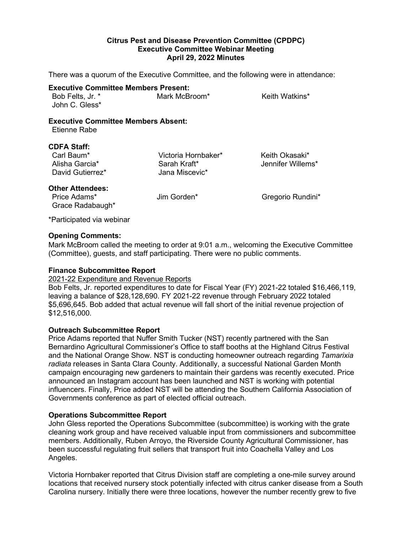# **Citrus Pest and Disease Prevention Committee (CPDPC) Executive Committee Webinar Meeting April 29, 2022 Minutes**

There was a quorum of the Executive Committee, and the following were in attendance:

# **Executive Committee Members Present:**

| Bob Felts, Jr. * | Mark McBroom* | Keith Watkins* |
|------------------|---------------|----------------|
| John C. Gless*   |               |                |

#### **Executive Committee Members Absent:**  Etienne Rabe

#### **CDFA Staff:**

Carl Baum\* Victoria Hornbaker\* Keith Okasaki\* David Gutierrez\*

Sarah Kraft\* Jennifer Willems\* Jennifer Willems\*

# **Other Attendees:**

Price Adams\* The Solution of Jim Gorden\* The Secret Gregorio Rundini\* Grace Radabaugh\*

\*Participated via webinar

## **Opening Comments:**

Mark McBroom called the meeting to order at 9:01 a.m., welcoming the Executive Committee (Committee), guests, and staff participating. There were no public comments.

### **Finance Subcommittee Report**

#### 2021-22 Expenditure and Revenue Reports

Bob Felts, Jr. reported expenditures to date for Fiscal Year (FY) 2021-22 totaled \$16,466,119, leaving a balance of \$28,128,690. FY 2021-22 revenue through February 2022 totaled \$5,696,645. Bob added that actual revenue will fall short of the initial revenue projection of \$12,516,000.

# **Outreach Subcommittee Report**

 Bernardino Agricultural Commissioner's Office to staff booths at the Highland Citrus Festival and the National Orange Show. NST is conducting homeowner outreach regarding *Tamarixia radiata* releases in Santa Clara County. Additionally, a successful National Garden Month Governments conference as part of elected official outreach. Price Adams reported that Nuffer Smith Tucker (NST) recently partnered with the San campaign encouraging new gardeners to maintain their gardens was recently executed. Price announced an Instagram account has been launched and NST is working with potential influencers. Finally, Price added NST will be attending the Southern California Association of

#### **Operations Subcommittee Report**

 members. Additionally, Ruben Arroyo, the Riverside County Agricultural Commissioner, has been successful regulating fruit sellers that transport fruit into Coachella Valley and Los John Gless reported the Operations Subcommittee (subcommittee) is working with the grate cleaning work group and have received valuable input from commissioners and subcommittee Angeles.

 Victoria Hornbaker reported that Citrus Division staff are completing a one-mile survey around locations that received nursery stock potentially infected with citrus canker disease from a South Carolina nursery. Initially there were three locations, however the number recently grew to five